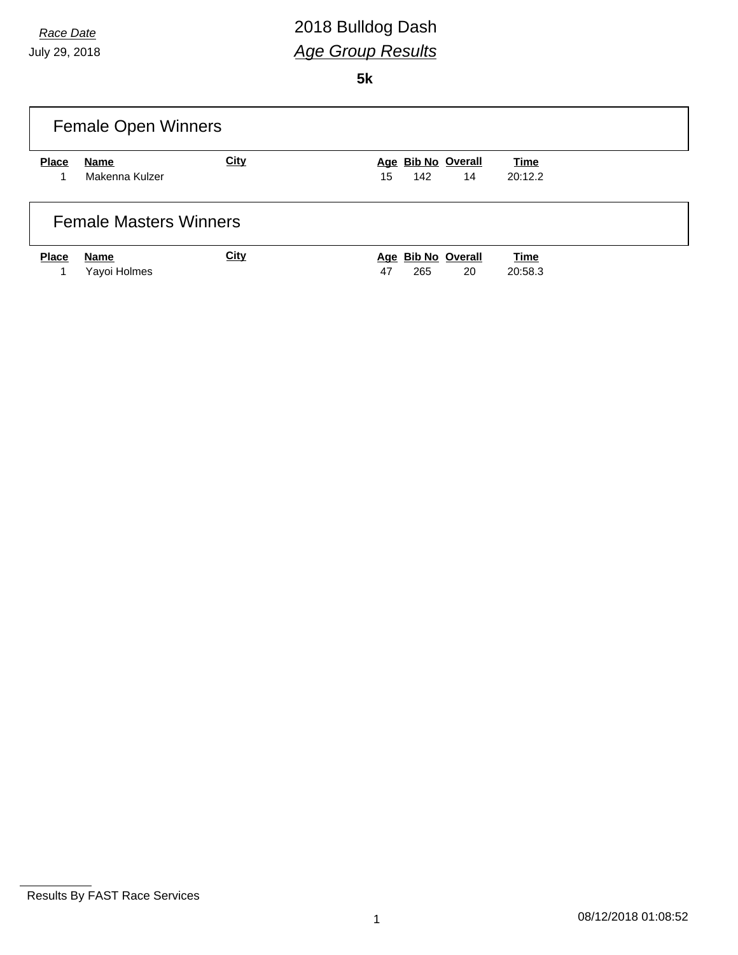## *Race Date* 2018 Bulldog Dash *Age Group Results*

**5k**

|              | <b>Female Open Winners</b>    |             |                    |             |
|--------------|-------------------------------|-------------|--------------------|-------------|
| <b>Place</b> | Name                          | <b>City</b> | Age Bib No Overall | <b>Time</b> |
|              | Makenna Kulzer                |             | 142<br>14<br>15    | 20:12.2     |
|              | <b>Female Masters Winners</b> |             |                    |             |
| <b>Place</b> | Name                          | <b>City</b> | Age Bib No Overall | Time        |
|              | Yayoi Holmes                  |             | 47<br>265<br>20    | 20:58.3     |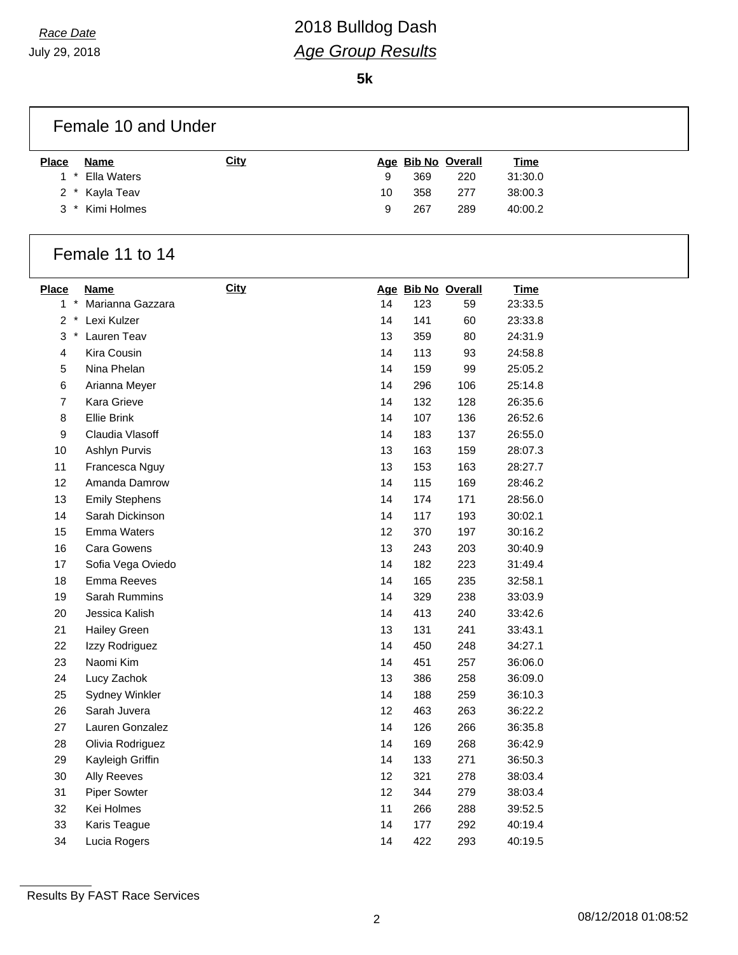## *Race Date* 2018 Bulldog Dash *Age Group Results*

**5k**

| Female 10 and Under                |             |                                   |
|------------------------------------|-------------|-----------------------------------|
| <b>Place</b><br>Name               | <u>City</u> | Age Bib No Overall<br><u>Time</u> |
| Ella Waters<br>$\boldsymbol{\ast}$ |             | 220<br>31:30.0<br>369<br>9        |
| 2 * Kayla Teav                     |             | 358<br>277<br>38:00.3<br>10       |
| Kimi Holmes                        |             | 289<br>40:00.2<br>267<br>9        |

#### Female 11 to 14

| <b>Place</b>                   | <b>Name</b>           | <b>City</b> |    | Age Bib No Overall |     | <b>Time</b> |
|--------------------------------|-----------------------|-------------|----|--------------------|-----|-------------|
| $\mathbf{1}$                   | Marianna Gazzara      |             | 14 | 123                | 59  | 23:33.5     |
| $\overline{2}$<br>$\pmb{\ast}$ | Lexi Kulzer           |             | 14 | 141                | 60  | 23:33.8     |
| 3                              | Lauren Teav           |             | 13 | 359                | 80  | 24:31.9     |
| $\overline{\mathbf{4}}$        | Kira Cousin           |             | 14 | 113                | 93  | 24:58.8     |
| 5                              | Nina Phelan           |             | 14 | 159                | 99  | 25:05.2     |
| 6                              | Arianna Meyer         |             | 14 | 296                | 106 | 25:14.8     |
| $\overline{7}$                 | Kara Grieve           |             | 14 | 132                | 128 | 26:35.6     |
| 8                              | <b>Ellie Brink</b>    |             | 14 | 107                | 136 | 26:52.6     |
| 9                              | Claudia Vlasoff       |             | 14 | 183                | 137 | 26:55.0     |
| 10                             | Ashlyn Purvis         |             | 13 | 163                | 159 | 28:07.3     |
| 11                             | Francesca Nguy        |             | 13 | 153                | 163 | 28:27.7     |
| 12                             | Amanda Damrow         |             | 14 | 115                | 169 | 28:46.2     |
| 13                             | <b>Emily Stephens</b> |             | 14 | 174                | 171 | 28:56.0     |
| 14                             | Sarah Dickinson       |             | 14 | 117                | 193 | 30:02.1     |
| 15                             | <b>Emma Waters</b>    |             | 12 | 370                | 197 | 30:16.2     |
| 16                             | Cara Gowens           |             | 13 | 243                | 203 | 30:40.9     |
| 17                             | Sofia Vega Oviedo     |             | 14 | 182                | 223 | 31:49.4     |
| 18                             | Emma Reeves           |             | 14 | 165                | 235 | 32:58.1     |
| 19                             | Sarah Rummins         |             | 14 | 329                | 238 | 33:03.9     |
| 20                             | Jessica Kalish        |             | 14 | 413                | 240 | 33:42.6     |
| 21                             | <b>Hailey Green</b>   |             | 13 | 131                | 241 | 33:43.1     |
| 22                             | Izzy Rodriguez        |             | 14 | 450                | 248 | 34:27.1     |
| 23                             | Naomi Kim             |             | 14 | 451                | 257 | 36:06.0     |
| 24                             | Lucy Zachok           |             | 13 | 386                | 258 | 36:09.0     |
| 25                             | <b>Sydney Winkler</b> |             | 14 | 188                | 259 | 36:10.3     |
| 26                             | Sarah Juvera          |             | 12 | 463                | 263 | 36:22.2     |
| 27                             | Lauren Gonzalez       |             | 14 | 126                | 266 | 36:35.8     |
| 28                             | Olivia Rodriguez      |             | 14 | 169                | 268 | 36:42.9     |
| 29                             | Kayleigh Griffin      |             | 14 | 133                | 271 | 36:50.3     |
| 30                             | <b>Ally Reeves</b>    |             | 12 | 321                | 278 | 38:03.4     |
| 31                             | <b>Piper Sowter</b>   |             | 12 | 344                | 279 | 38:03.4     |
| 32                             | Kei Holmes            |             | 11 | 266                | 288 | 39:52.5     |
| 33                             | Karis Teague          |             | 14 | 177                | 292 | 40:19.4     |
| 34                             | Lucia Rogers          |             | 14 | 422                | 293 | 40:19.5     |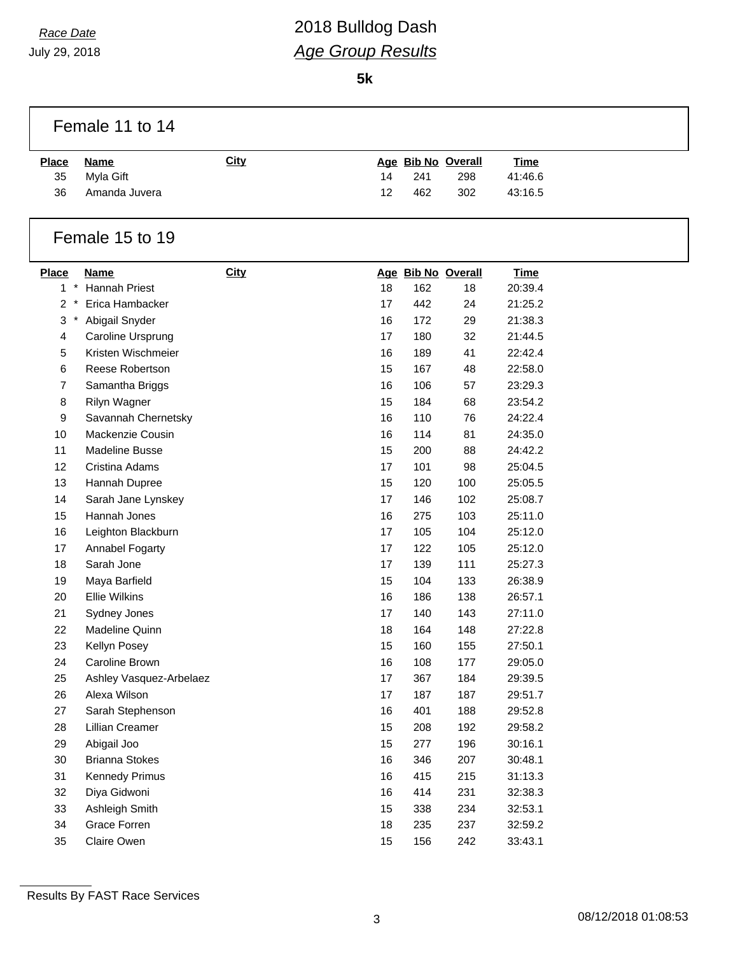# *Race Date* 2018 Bulldog Dash *Age Group Results*

**5k**

Female 11 to 14

| <b>Place</b> | Name          | <u>City</u> |    |     | Age Bib No Overall | <u>Time</u> |
|--------------|---------------|-------------|----|-----|--------------------|-------------|
| 35           | Mvla Gift     |             | 14 | 241 | 298                | 41:46.6     |
| 36           | Amanda Juvera |             | 12 | 462 | 302                | 43:16.5     |

### Female 15 to 19

| Place                        | Name                    | City |    | Age Bib No Overall |     | <b>Time</b> |
|------------------------------|-------------------------|------|----|--------------------|-----|-------------|
| $\pmb{\ast}$<br>$\mathbf{1}$ | Hannah Priest           |      | 18 | 162                | 18  | 20:39.4     |
| $\overline{2}$<br>$\ast$     | Erica Hambacker         |      | 17 | 442                | 24  | 21:25.2     |
| $\ast$<br>3                  | Abigail Snyder          |      | 16 | 172                | 29  | 21:38.3     |
| 4                            | Caroline Ursprung       |      | 17 | 180                | 32  | 21:44.5     |
| 5                            | Kristen Wischmeier      |      | 16 | 189                | 41  | 22:42.4     |
| 6                            | Reese Robertson         |      | 15 | 167                | 48  | 22:58.0     |
| $\overline{7}$               | Samantha Briggs         |      | 16 | 106                | 57  | 23:29.3     |
| 8                            | Rilyn Wagner            |      | 15 | 184                | 68  | 23:54.2     |
| 9                            | Savannah Chernetsky     |      | 16 | 110                | 76  | 24:22.4     |
| 10                           | Mackenzie Cousin        |      | 16 | 114                | 81  | 24:35.0     |
| 11                           | <b>Madeline Busse</b>   |      | 15 | 200                | 88  | 24:42.2     |
| 12                           | Cristina Adams          |      | 17 | 101                | 98  | 25:04.5     |
| 13                           | Hannah Dupree           |      | 15 | 120                | 100 | 25:05.5     |
| 14                           | Sarah Jane Lynskey      |      | 17 | 146                | 102 | 25:08.7     |
| 15                           | Hannah Jones            |      | 16 | 275                | 103 | 25:11.0     |
| 16                           | Leighton Blackburn      |      | 17 | 105                | 104 | 25:12.0     |
| 17                           | Annabel Fogarty         |      | 17 | 122                | 105 | 25:12.0     |
| 18                           | Sarah Jone              |      | 17 | 139                | 111 | 25:27.3     |
| 19                           | Maya Barfield           |      | 15 | 104                | 133 | 26:38.9     |
| 20                           | <b>Ellie Wilkins</b>    |      | 16 | 186                | 138 | 26:57.1     |
| 21                           | Sydney Jones            |      | 17 | 140                | 143 | 27:11.0     |
| 22                           | Madeline Quinn          |      | 18 | 164                | 148 | 27:22.8     |
| 23                           | Kellyn Posey            |      | 15 | 160                | 155 | 27:50.1     |
| 24                           | Caroline Brown          |      | 16 | 108                | 177 | 29:05.0     |
| 25                           | Ashley Vasquez-Arbelaez |      | 17 | 367                | 184 | 29:39.5     |
| 26                           | Alexa Wilson            |      | 17 | 187                | 187 | 29:51.7     |
| 27                           | Sarah Stephenson        |      | 16 | 401                | 188 | 29:52.8     |
| 28                           | Lillian Creamer         |      | 15 | 208                | 192 | 29:58.2     |
| 29                           | Abigail Joo             |      | 15 | 277                | 196 | 30:16.1     |
| 30                           | <b>Brianna Stokes</b>   |      | 16 | 346                | 207 | 30:48.1     |
| 31                           | <b>Kennedy Primus</b>   |      | 16 | 415                | 215 | 31:13.3     |
| 32                           | Diya Gidwoni            |      | 16 | 414                | 231 | 32:38.3     |
| 33                           | Ashleigh Smith          |      | 15 | 338                | 234 | 32:53.1     |
| 34                           | Grace Forren            |      | 18 | 235                | 237 | 32:59.2     |
| 35                           | Claire Owen             |      | 15 | 156                | 242 | 33:43.1     |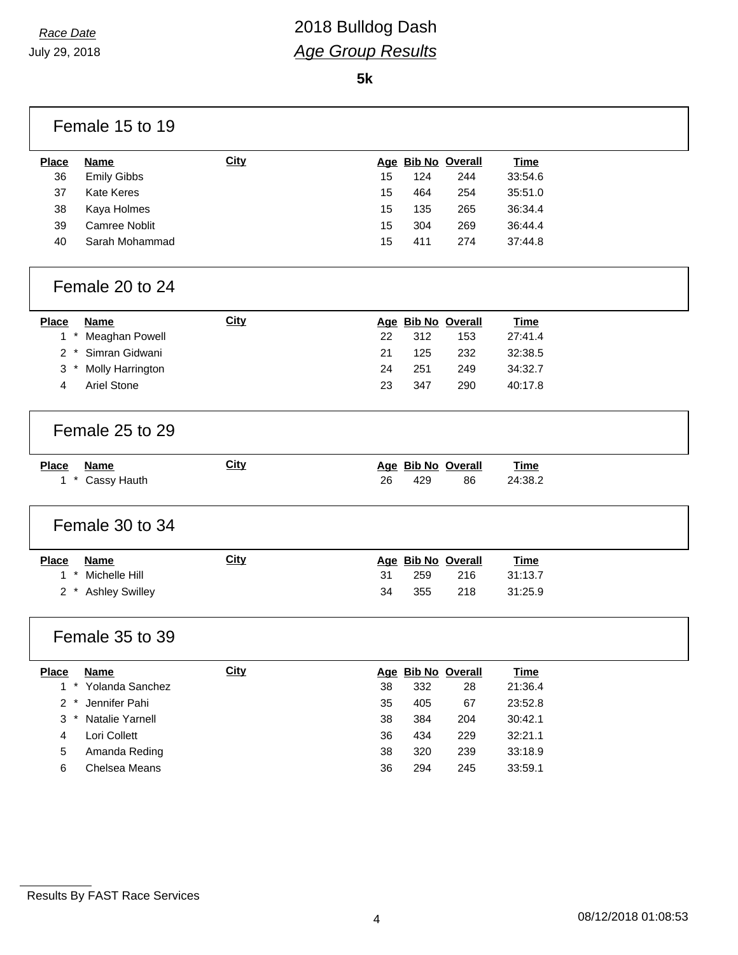## *Race Date* 2018 Bulldog Dash *Age Group Results*

**5k**

| Female 15 to 19                 |             |                                   |
|---------------------------------|-------------|-----------------------------------|
| <b>Place</b><br><b>Name</b>     | <b>City</b> | Age Bib No Overall<br><b>Time</b> |
| <b>Emily Gibbs</b><br>36        |             | 15<br>124<br>244<br>33:54.6       |
| 37<br><b>Kate Keres</b>         |             | 15<br>464<br>254<br>35:51.0       |
| Kaya Holmes<br>38               |             | 15<br>135<br>265<br>36:34.4       |
| <b>Camree Noblit</b><br>39      |             | 269<br>36:44.4<br>15<br>304       |
| Sarah Mohammad<br>40            |             | 411<br>274<br>15<br>37:44.8       |
| Female 20 to 24                 |             |                                   |
| <b>Place</b><br><b>Name</b>     | <b>City</b> | Age Bib No Overall<br><b>Time</b> |
| 1 * Meaghan Powell              |             | 22<br>312<br>153<br>27:41.4       |
| 2 * Simran Gidwani              |             | 21<br>125<br>232<br>32:38.5       |
| 3<br>Molly Harrington           |             | 251<br>24<br>249<br>34:32.7       |
| <b>Ariel Stone</b><br>4         |             | 347<br>23<br>290<br>40:17.8       |
| Female 25 to 29                 |             |                                   |
| <b>Place</b><br><b>Name</b>     | City        | Age Bib No Overall<br><b>Time</b> |
| 1 * Cassy Hauth                 |             | 429<br>26<br>86<br>24:38.2        |
| Female 30 to 34                 |             |                                   |
| <b>Place</b><br><b>Name</b>     | <b>City</b> | Age Bib No Overall<br><b>Time</b> |
| 1 * Michelle Hill               |             | 259<br>216<br>31:13.7<br>31       |
| 2 * Ashley Swilley              |             | 355<br>218<br>34<br>31:25.9       |
| Female 35 to 39                 |             |                                   |
| <b>Place</b><br><b>Name</b>     | <b>City</b> | Age Bib No Overall<br><b>Time</b> |
| $1 *$<br>Yolanda Sanchez        |             | 332<br>38<br>28<br>21:36.4        |
| $\overline{2}$<br>Jennifer Pahi |             | 35<br>405<br>67<br>23:52.8        |
| Natalie Yarnell<br>3            |             | 38<br>384<br>204<br>30:42.1       |
| 4<br>Lori Collett               |             | 32:21.1<br>36<br>434<br>229       |
| Amanda Reding<br>5              |             | 38<br>320<br>239<br>33:18.9       |
| Chelsea Means<br>6              |             | 33:59.1<br>36<br>294<br>245       |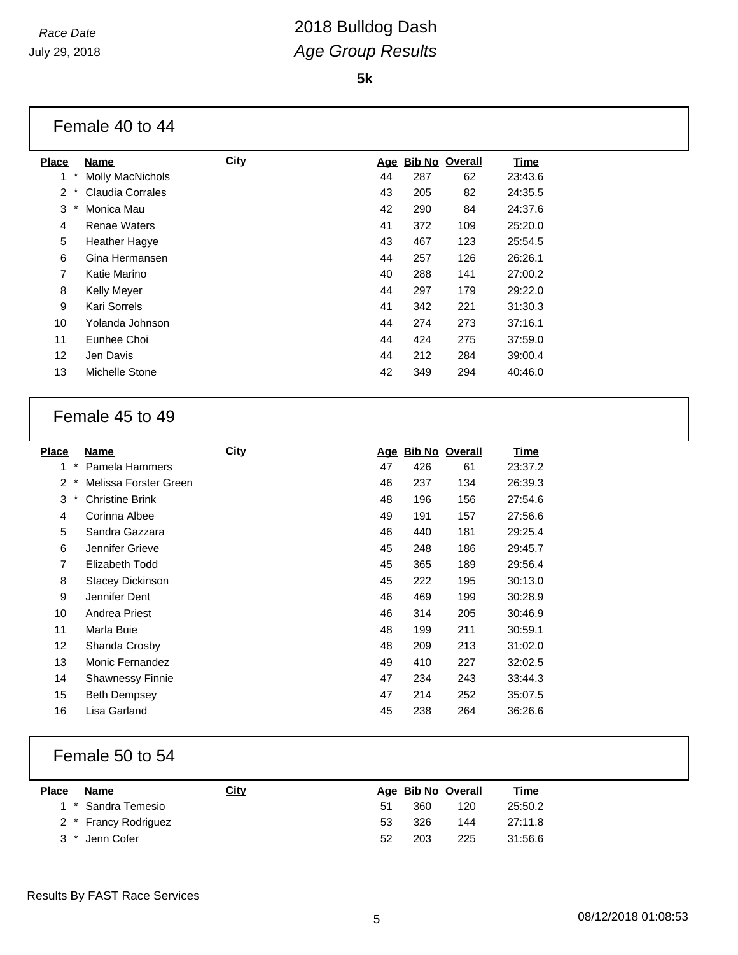**5k**

|                   | Female 40 to 44         |             |    |     |                    |         |
|-------------------|-------------------------|-------------|----|-----|--------------------|---------|
| <b>Place</b>      | Name                    | <b>City</b> |    |     | Age Bib No Overall | Time    |
| 1                 | <b>Molly MacNichols</b> |             | 44 | 287 | 62                 | 23:43.6 |
| 2                 | <b>Claudia Corrales</b> |             | 43 | 205 | 82                 | 24:35.5 |
| 3<br>$^\ast$      | Monica Mau              |             | 42 | 290 | 84                 | 24:37.6 |
| 4                 | Renae Waters            |             | 41 | 372 | 109                | 25:20.0 |
| 5                 | Heather Hagye           |             | 43 | 467 | 123                | 25:54.5 |
| 6                 | Gina Hermansen          |             | 44 | 257 | 126                | 26:26.1 |
| $\overline{7}$    | Katie Marino            |             | 40 | 288 | 141                | 27:00.2 |
| 8                 | Kelly Meyer             |             | 44 | 297 | 179                | 29:22.0 |
| 9                 | Kari Sorrels            |             | 41 | 342 | 221                | 31:30.3 |
| 10                | Yolanda Johnson         |             | 44 | 274 | 273                | 37:16.1 |
| 11                | Eunhee Choi             |             | 44 | 424 | 275                | 37:59.0 |
| $12 \overline{ }$ | Jen Davis               |             | 44 | 212 | 284                | 39:00.4 |
| 13                | Michelle Stone          |             | 42 | 349 | 294                | 40:46.0 |
|                   |                         |             |    |     |                    |         |

### Female 45 to 49

| <b>Place</b>        | Name                    | <b>City</b> | Age | <b>Bib No Overall</b> |     | <u>Time</u> |
|---------------------|-------------------------|-------------|-----|-----------------------|-----|-------------|
| 1<br>*              | Pamela Hammers          |             | 47  | 426                   | 61  | 23:37.2     |
| $\overline{2}$<br>* | Melissa Forster Green   |             | 46  | 237                   | 134 | 26:39.3     |
| 3<br>*              | <b>Christine Brink</b>  |             | 48  | 196                   | 156 | 27:54.6     |
| 4                   | Corinna Albee           |             | 49  | 191                   | 157 | 27:56.6     |
| 5                   | Sandra Gazzara          |             | 46  | 440                   | 181 | 29:25.4     |
| 6                   | Jennifer Grieve         |             | 45  | 248                   | 186 | 29:45.7     |
| 7                   | Elizabeth Todd          |             | 45  | 365                   | 189 | 29:56.4     |
| 8                   | Stacey Dickinson        |             | 45  | 222                   | 195 | 30:13.0     |
| 9                   | Jennifer Dent           |             | 46  | 469                   | 199 | 30:28.9     |
| 10                  | Andrea Priest           |             | 46  | 314                   | 205 | 30:46.9     |
| 11                  | Marla Buie              |             | 48  | 199                   | 211 | 30:59.1     |
| 12 <sup>2</sup>     | Shanda Crosby           |             | 48  | 209                   | 213 | 31:02.0     |
| 13                  | Monic Fernandez         |             | 49  | 410                   | 227 | 32:02.5     |
| 14                  | <b>Shawnessy Finnie</b> |             | 47  | 234                   | 243 | 33:44.3     |
| 15                  | <b>Beth Dempsey</b>     |             | 47  | 214                   | 252 | 35:07.5     |
| 16                  | Lisa Garland            |             | 45  | 238                   | 264 | 36:26.6     |

### Female 50 to 54

| <b>Place</b> | Name                      | <u>City</u> |    |     | Age Bib No Overall | <u>Time</u> |
|--------------|---------------------------|-------------|----|-----|--------------------|-------------|
|              | 1 * Sandra Temesio        |             | 51 | 360 | 120                | 25:50.2     |
|              | 2 * Francy Rodriguez      |             | 53 | 326 | 144                | 27:11.8     |
|              | 3 <sup>*</sup> Jenn Cofer |             | 52 | 203 | 225                | 31:56.6     |

Results By FAST Race Services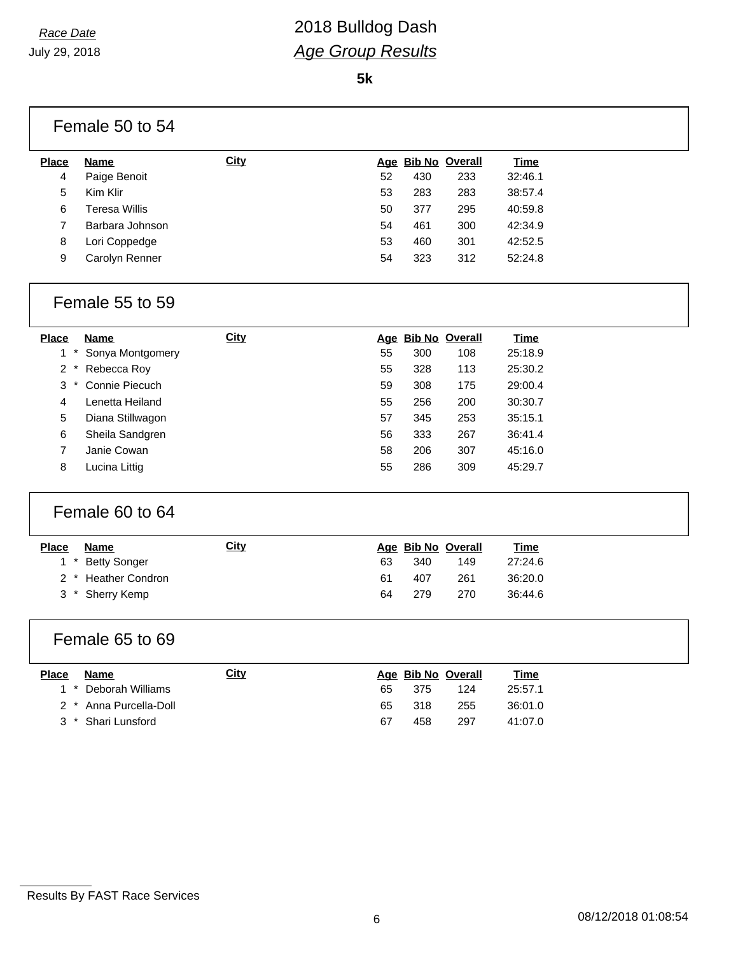**5k**

|                            | Female 50 to 54                    |             |    |     |                    |             |  |
|----------------------------|------------------------------------|-------------|----|-----|--------------------|-------------|--|
| <b>Place</b>               | Name                               | <b>City</b> |    |     | Age Bib No Overall | <b>Time</b> |  |
| 4                          | Paige Benoit                       |             | 52 | 430 | 233                | 32:46.1     |  |
| 5                          | Kim Klir                           |             | 53 | 283 | 283                | 38:57.4     |  |
| 6                          | <b>Teresa Willis</b>               |             | 50 | 377 | 295                | 40:59.8     |  |
| $\overline{7}$             | Barbara Johnson                    |             | 54 | 461 | 300                | 42:34.9     |  |
| 8                          | Lori Coppedge                      |             | 53 | 460 | 301                | 42:52.5     |  |
| 9                          | Carolyn Renner                     |             | 54 | 323 | 312                | 52:24.8     |  |
|                            | Female 55 to 59                    |             |    |     |                    |             |  |
| <b>Place</b>               | <b>Name</b>                        | <b>City</b> |    |     | Age Bib No Overall | <b>Time</b> |  |
| $1*$                       | Sonya Montgomery                   |             | 55 | 300 | 108                | 25:18.9     |  |
| $\overline{2}$<br>$^\star$ | Rebecca Roy                        |             | 55 | 328 | 113                | 25:30.2     |  |
| 3                          | $\star$<br>Connie Piecuch          |             | 59 | 308 | 175                | 29:00.4     |  |
| 4                          | Lenetta Heiland                    |             | 55 | 256 | 200                | 30:30.7     |  |
| 5                          | Diana Stillwagon                   |             | 57 | 345 | 253                | 35:15.1     |  |
| 6                          | Sheila Sandgren                    |             | 56 | 333 | 267                | 36:41.4     |  |
| $\overline{7}$             | Janie Cowan                        |             | 58 | 206 | 307                | 45:16.0     |  |
| 8                          | Lucina Littig                      |             | 55 | 286 | 309                | 45:29.7     |  |
|                            | Female 60 to 64                    |             |    |     |                    |             |  |
| <b>Place</b>               | <b>Name</b>                        | <b>City</b> |    |     | Age Bib No Overall | <b>Time</b> |  |
| $1*$                       | <b>Betty Songer</b>                |             | 63 | 340 | 149                | 27:24.6     |  |
| $\mathbf{2}$               | <b>Heather Condron</b><br>$^\star$ |             | 61 | 407 | 261                | 36:20.0     |  |
| $3^*$                      | <b>Sherry Kemp</b>                 |             | 64 | 279 | 270                | 36:44.6     |  |
|                            | Female 65 to 69                    |             |    |     |                    |             |  |
| <b>Place</b>               | Name                               | <b>City</b> |    |     | Age Bib No Overall | <b>Time</b> |  |
| 1                          | Deborah Williams                   |             | 65 | 375 | 124                | 25:57.1     |  |
| $\overline{2}$             | Anna Purcella-Doll                 |             | 65 | 318 | 255                | 36:01.0     |  |
| $3*$                       | Shari Lunsford                     |             | 67 | 458 | 297                | 41:07.0     |  |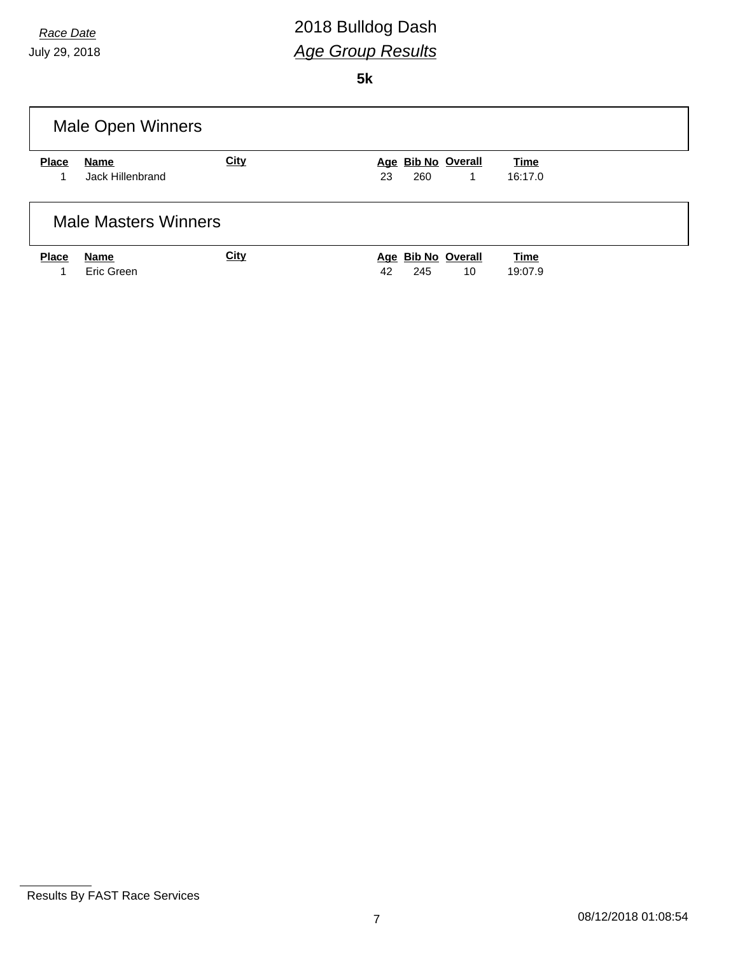## *Race Date* 2018 Bulldog Dash *Age Group Results*

**5k**

|              | Male Open Winners           |             |                    |         |
|--------------|-----------------------------|-------------|--------------------|---------|
| <b>Place</b> | Name                        | <b>City</b> | Age Bib No Overall | Time    |
|              | Jack Hillenbrand            |             | 260<br>23<br>1.    | 16:17.0 |
|              | <b>Male Masters Winners</b> |             |                    |         |
| <b>Place</b> | Name                        | <b>City</b> | Age Bib No Overall | Time    |
|              | Eric Green                  |             | 245<br>10<br>42    | 19:07.9 |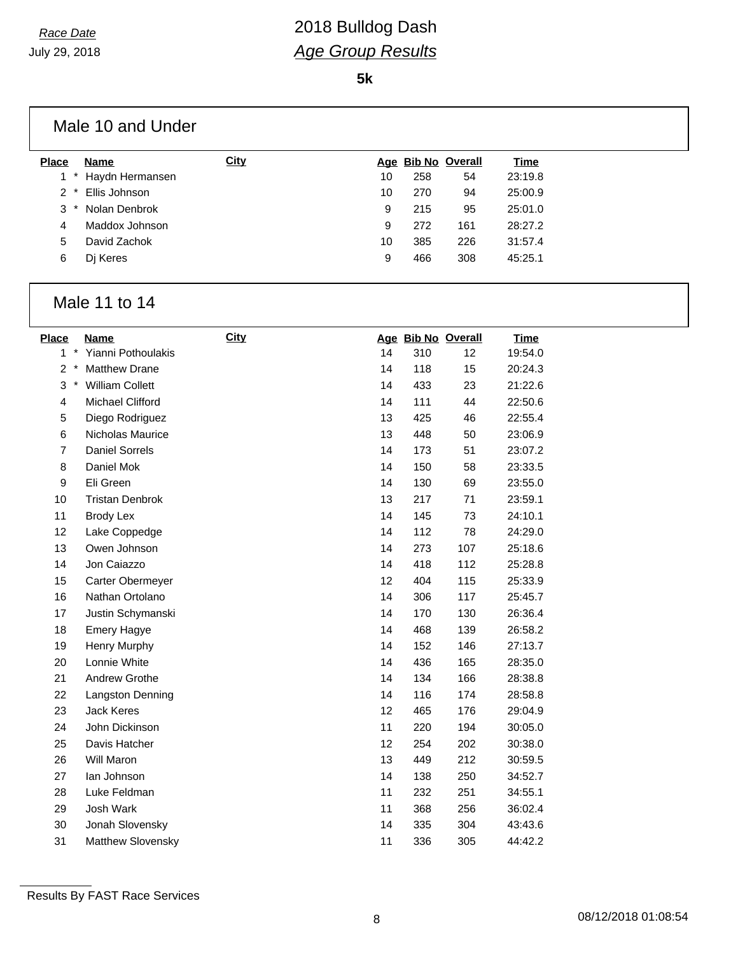**5k**

|               | Male 10 and Under |      |    |     |                    |         |  |
|---------------|-------------------|------|----|-----|--------------------|---------|--|
| <b>Place</b>  | Name              | City |    |     | Age Bib No Overall | Time    |  |
|               | Haydn Hermansen   |      | 10 | 258 | 54                 | 23:19.8 |  |
| $\mathcal{P}$ | Ellis Johnson     |      | 10 | 270 | 94                 | 25:00.9 |  |
| 3             | Nolan Denbrok     |      | 9  | 215 | 95                 | 25:01.0 |  |
| 4             | Maddox Johnson    |      | 9  | 272 | 161                | 28:27.2 |  |
| 5             | David Zachok      |      | 10 | 385 | 226                | 31:57.4 |  |
| 6             | Di Keres          |      | 9  | 466 | 308                | 45:25.1 |  |
|               |                   |      |    |     |                    |         |  |

## Male 11 to 14

| <b>Place</b>   |         | Name                   | <b>City</b> |    | Age Bib No Overall |     | <b>Time</b> |
|----------------|---------|------------------------|-------------|----|--------------------|-----|-------------|
| 1              | $\star$ | Yianni Pothoulakis     |             | 14 | 310                | 12  | 19:54.0     |
| $\overline{c}$ | $\ast$  | <b>Matthew Drane</b>   |             | 14 | 118                | 15  | 20:24.3     |
| 3              | $\ast$  | <b>William Collett</b> |             | 14 | 433                | 23  | 21:22.6     |
| 4              |         | Michael Clifford       |             | 14 | 111                | 44  | 22:50.6     |
| 5              |         | Diego Rodriguez        |             | 13 | 425                | 46  | 22:55.4     |
| 6              |         | Nicholas Maurice       |             | 13 | 448                | 50  | 23:06.9     |
| $\overline{7}$ |         | <b>Daniel Sorrels</b>  |             | 14 | 173                | 51  | 23:07.2     |
| 8              |         | Daniel Mok             |             | 14 | 150                | 58  | 23:33.5     |
| 9              |         | Eli Green              |             | 14 | 130                | 69  | 23:55.0     |
| 10             |         | <b>Tristan Denbrok</b> |             | 13 | 217                | 71  | 23:59.1     |
| 11             |         | <b>Brody Lex</b>       |             | 14 | 145                | 73  | 24:10.1     |
| 12             |         | Lake Coppedge          |             | 14 | 112                | 78  | 24:29.0     |
| 13             |         | Owen Johnson           |             | 14 | 273                | 107 | 25:18.6     |
| 14             |         | Jon Caiazzo            |             | 14 | 418                | 112 | 25:28.8     |
| 15             |         | Carter Obermeyer       |             | 12 | 404                | 115 | 25:33.9     |
| 16             |         | Nathan Ortolano        |             | 14 | 306                | 117 | 25:45.7     |
| 17             |         | Justin Schymanski      |             | 14 | 170                | 130 | 26:36.4     |
| 18             |         | <b>Emery Hagye</b>     |             | 14 | 468                | 139 | 26:58.2     |
| 19             |         | Henry Murphy           |             | 14 | 152                | 146 | 27:13.7     |
| 20             |         | Lonnie White           |             | 14 | 436                | 165 | 28:35.0     |
| 21             |         | <b>Andrew Grothe</b>   |             | 14 | 134                | 166 | 28:38.8     |
| 22             |         | Langston Denning       |             | 14 | 116                | 174 | 28:58.8     |
| 23             |         | <b>Jack Keres</b>      |             | 12 | 465                | 176 | 29:04.9     |
| 24             |         | John Dickinson         |             | 11 | 220                | 194 | 30:05.0     |
| 25             |         | Davis Hatcher          |             | 12 | 254                | 202 | 30:38.0     |
| 26             |         | Will Maron             |             | 13 | 449                | 212 | 30:59.5     |
| 27             |         | lan Johnson            |             | 14 | 138                | 250 | 34:52.7     |
| 28             |         | Luke Feldman           |             | 11 | 232                | 251 | 34:55.1     |
| 29             |         | Josh Wark              |             | 11 | 368                | 256 | 36:02.4     |
| 30             |         | Jonah Slovensky        |             | 14 | 335                | 304 | 43:43.6     |
| 31             |         | Matthew Slovensky      |             | 11 | 336                | 305 | 44:42.2     |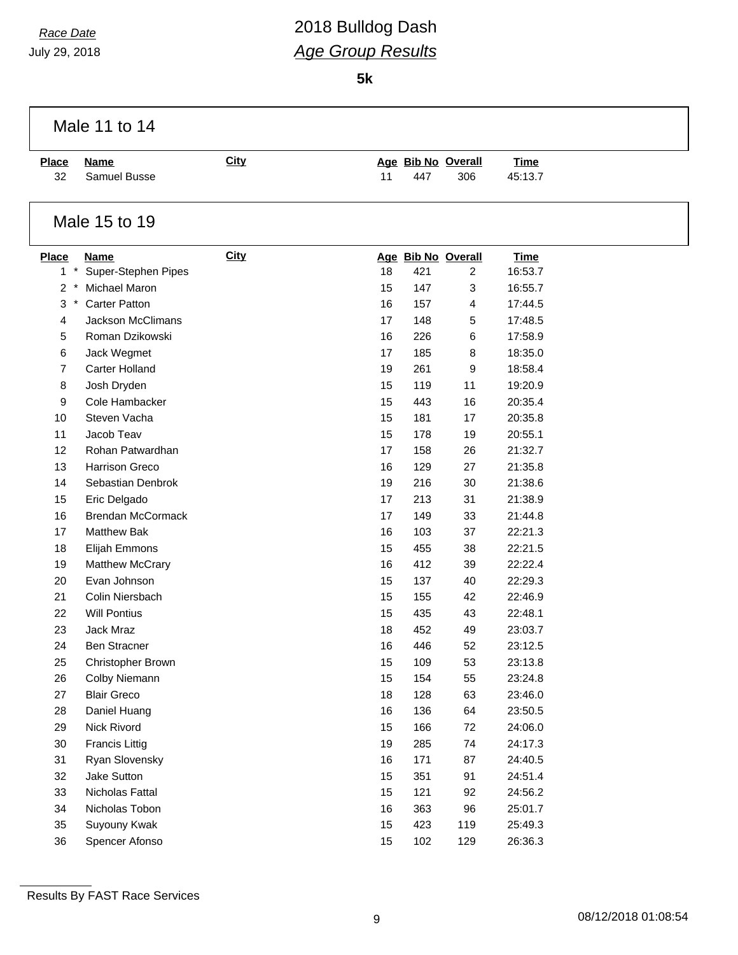# *Race Date* 2018 Bulldog Dash *Age Group Results*

**5k**

|                              | Male 11 to 14            |             |    |     |                    |             |
|------------------------------|--------------------------|-------------|----|-----|--------------------|-------------|
| <b>Place</b>                 | <b>Name</b>              | <b>City</b> |    |     | Age Bib No Overall | <b>Time</b> |
| 32                           | Samuel Busse             |             | 11 | 447 | 306                | 45:13.7     |
|                              | Male 15 to 19            |             |    |     |                    |             |
| <b>Place</b>                 | <b>Name</b>              | <b>City</b> |    |     | Age Bib No Overall | <b>Time</b> |
| $\pmb{\ast}$<br>$\mathbf{1}$ | Super-Stephen Pipes      |             | 18 | 421 | 2                  | 16:53.7     |
| $\overline{2}$               | Michael Maron            |             | 15 | 147 | 3                  | 16:55.7     |
| 3                            | <b>Carter Patton</b>     |             | 16 | 157 | 4                  | 17:44.5     |
| 4                            | <b>Jackson McClimans</b> |             | 17 | 148 | 5                  | 17:48.5     |
| 5                            | Roman Dzikowski          |             | 16 | 226 | 6                  | 17:58.9     |
| 6                            | Jack Wegmet              |             | 17 | 185 | 8                  | 18:35.0     |
| $\overline{7}$               | <b>Carter Holland</b>    |             | 19 | 261 | 9                  | 18:58.4     |
| 8                            | Josh Dryden              |             | 15 | 119 | 11                 | 19:20.9     |
| 9                            | Cole Hambacker           |             | 15 | 443 | 16                 | 20:35.4     |
| 10                           | Steven Vacha             |             | 15 | 181 | 17                 | 20:35.8     |
| 11                           | Jacob Teav               |             | 15 | 178 | 19                 | 20:55.1     |
| 12                           | Rohan Patwardhan         |             | 17 | 158 | 26                 | 21:32.7     |
| 13                           | <b>Harrison Greco</b>    |             | 16 | 129 | 27                 | 21:35.8     |
| 14                           | Sebastian Denbrok        |             | 19 | 216 | 30                 | 21:38.6     |
| 15                           | Eric Delgado             |             | 17 | 213 | 31                 | 21:38.9     |
| 16                           | <b>Brendan McCormack</b> |             | 17 | 149 | 33                 | 21:44.8     |
| 17                           | <b>Matthew Bak</b>       |             | 16 | 103 | 37                 | 22:21.3     |
| 18                           | Elijah Emmons            |             | 15 | 455 | 38                 | 22:21.5     |
| 19                           | <b>Matthew McCrary</b>   |             | 16 | 412 | 39                 | 22:22.4     |
| 20                           | Evan Johnson             |             | 15 | 137 | 40                 | 22:29.3     |
| 21                           | Colin Niersbach          |             | 15 | 155 | 42                 | 22:46.9     |
| 22                           | <b>Will Pontius</b>      |             | 15 | 435 | 43                 | 22:48.1     |
| 23                           | Jack Mraz                |             | 18 | 452 | 49                 | 23:03.7     |
| 24                           | <b>Ben Stracner</b>      |             | 16 | 446 | 52                 | 23:12.5     |
| 25                           | Christopher Brown        |             | 15 | 109 | 53                 | 23:13.8     |
| 26                           | Colby Niemann            |             | 15 | 154 | 55                 | 23:24.8     |
| 27                           | <b>Blair Greco</b>       |             | 18 | 128 | 63                 | 23:46.0     |
| 28                           | Daniel Huang             |             | 16 | 136 | 64                 | 23:50.5     |
| 29                           | Nick Rivord              |             | 15 | 166 | 72                 | 24:06.0     |
| 30                           | <b>Francis Littig</b>    |             | 19 | 285 | 74                 | 24:17.3     |
| 31                           | Ryan Slovensky           |             | 16 | 171 | 87                 | 24:40.5     |
| 32                           | Jake Sutton              |             | 15 | 351 | 91                 | 24:51.4     |
| 33                           | Nicholas Fattal          |             | 15 | 121 | 92                 | 24:56.2     |
| 34                           | Nicholas Tobon           |             | 16 | 363 | 96                 | 25:01.7     |
| 35                           | Suyouny Kwak             |             | 15 | 423 | 119                | 25:49.3     |
| 36                           | Spencer Afonso           |             | 15 | 102 | 129                | 26:36.3     |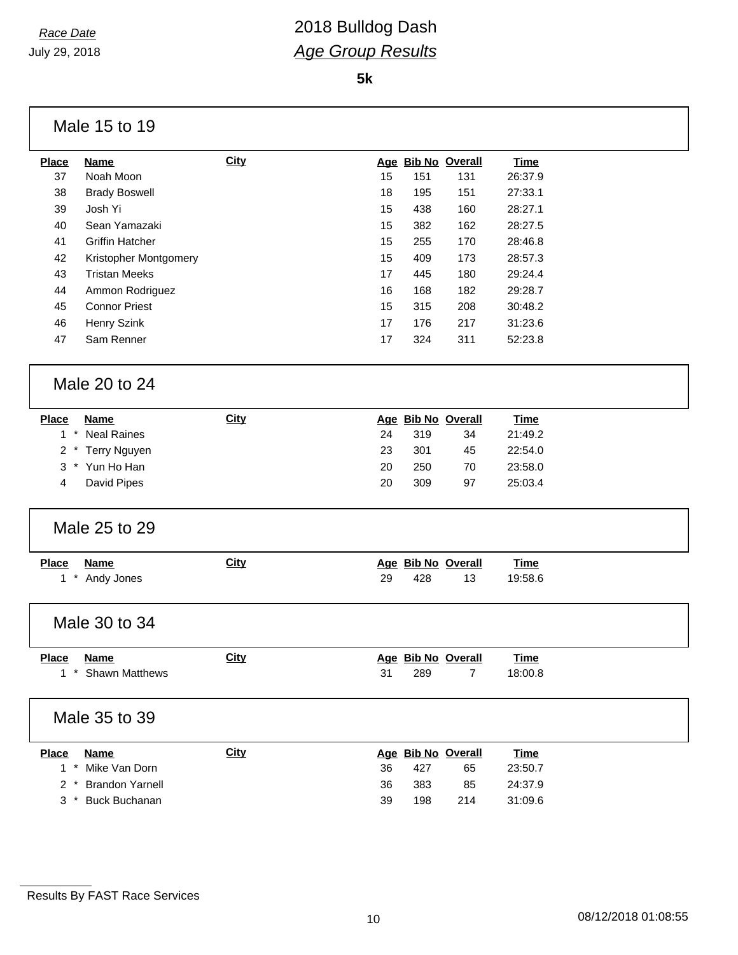**5k**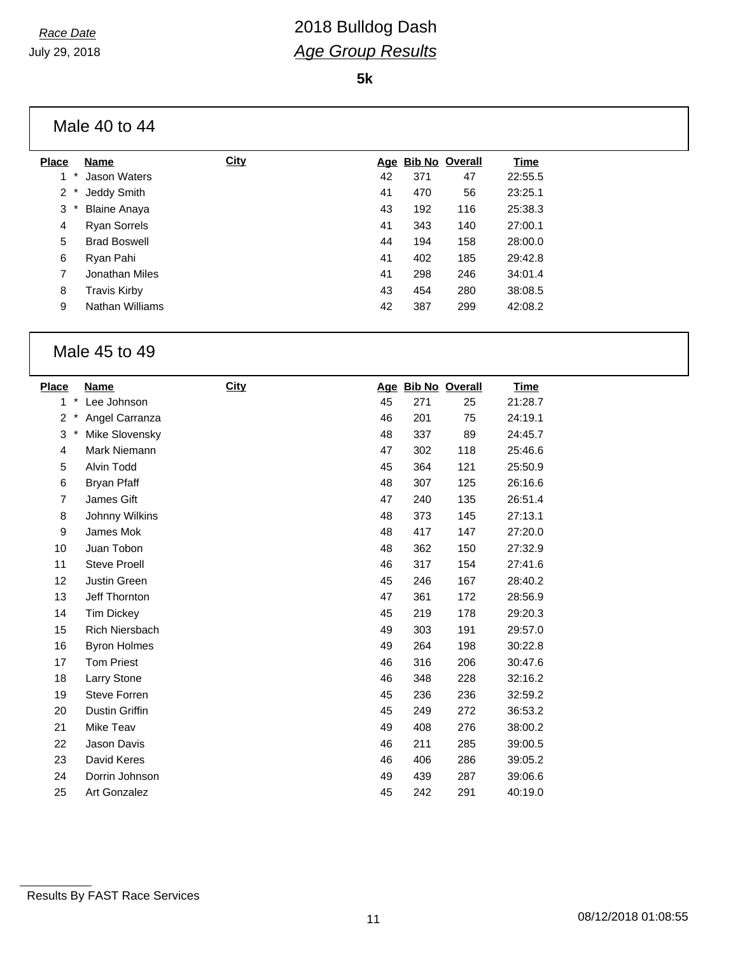**5k**

### Male 40 to 44

| <b>Place</b> | Name                | <b>City</b> |    | Age Bib No Overall |     | <b>Time</b> |
|--------------|---------------------|-------------|----|--------------------|-----|-------------|
|              | Jason Waters        |             | 42 | 371                | 47  | 22:55.5     |
| 2            | Jeddy Smith         |             | 41 | 470                | 56  | 23:25.1     |
| 3            | <b>Blaine Anaya</b> |             | 43 | 192                | 116 | 25:38.3     |
| 4            | <b>Ryan Sorrels</b> |             | 41 | 343                | 140 | 27:00.1     |
| 5            | <b>Brad Boswell</b> |             | 44 | 194                | 158 | 28:00.0     |
| 6            | Ryan Pahi           |             | 41 | 402                | 185 | 29:42.8     |
| 7            | Jonathan Miles      |             | 41 | 298                | 246 | 34:01.4     |
| 8            | Travis Kirby        |             | 43 | 454                | 280 | 38:08.5     |
| 9            | Nathan Williams     |             | 42 | 387                | 299 | 42:08.2     |
|              |                     |             |    |                    |     |             |

#### Male 45 to 49

| <b>Place</b>   | <b>Name</b>           | <b>City</b> | Age |     | <b>Bib No Overall</b> | <u>Time</u> |
|----------------|-----------------------|-------------|-----|-----|-----------------------|-------------|
| $\ast$<br>1    | Lee Johnson           |             | 45  | 271 | 25                    | 21:28.7     |
| 2<br>$\ast$    | Angel Carranza        |             | 46  | 201 | 75                    | 24:19.1     |
| 3<br>$\ast$    | Mike Slovensky        |             | 48  | 337 | 89                    | 24:45.7     |
| $\overline{4}$ | Mark Niemann          |             | 47  | 302 | 118                   | 25:46.6     |
| 5              | Alvin Todd            |             | 45  | 364 | 121                   | 25:50.9     |
| 6              | <b>Bryan Pfaff</b>    |             | 48  | 307 | 125                   | 26:16.6     |
| $\overline{7}$ | James Gift            |             | 47  | 240 | 135                   | 26:51.4     |
| 8              | Johnny Wilkins        |             | 48  | 373 | 145                   | 27:13.1     |
| 9              | James Mok             |             | 48  | 417 | 147                   | 27:20.0     |
| 10             | Juan Tobon            |             | 48  | 362 | 150                   | 27:32.9     |
| 11             | <b>Steve Proell</b>   |             | 46  | 317 | 154                   | 27:41.6     |
| 12             | Justin Green          |             | 45  | 246 | 167                   | 28:40.2     |
| 13             | Jeff Thornton         |             | 47  | 361 | 172                   | 28:56.9     |
| 14             | <b>Tim Dickey</b>     |             | 45  | 219 | 178                   | 29:20.3     |
| 15             | <b>Rich Niersbach</b> |             | 49  | 303 | 191                   | 29:57.0     |
| 16             | <b>Byron Holmes</b>   |             | 49  | 264 | 198                   | 30:22.8     |
| 17             | <b>Tom Priest</b>     |             | 46  | 316 | 206                   | 30:47.6     |
| 18             | Larry Stone           |             | 46  | 348 | 228                   | 32:16.2     |
| 19             | Steve Forren          |             | 45  | 236 | 236                   | 32:59.2     |
| 20             | Dustin Griffin        |             | 45  | 249 | 272                   | 36:53.2     |
| 21             | Mike Teav             |             | 49  | 408 | 276                   | 38:00.2     |
| 22             | Jason Davis           |             | 46  | 211 | 285                   | 39:00.5     |
| 23             | David Keres           |             | 46  | 406 | 286                   | 39:05.2     |
| 24             | Dorrin Johnson        |             | 49  | 439 | 287                   | 39:06.6     |
| 25             | <b>Art Gonzalez</b>   |             | 45  | 242 | 291                   | 40:19.0     |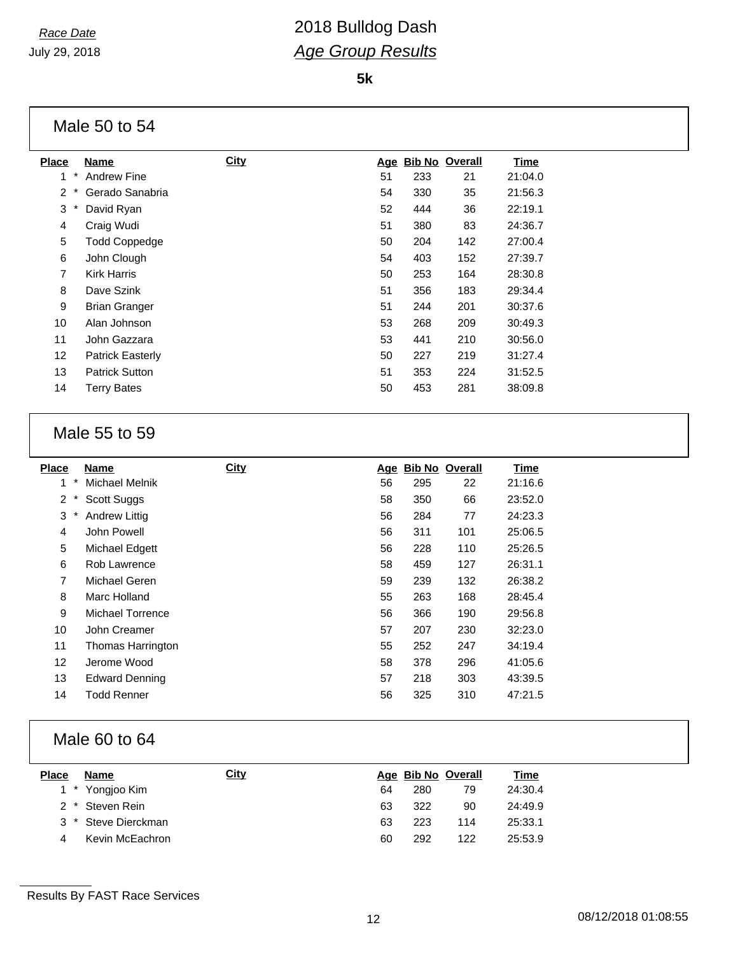**5k**

### Male 50 to 54

| <b>Place</b>    |   | Name                    | <b>City</b> | <u>Age</u> |     | <b>Bib No Overall</b> | Time    |
|-----------------|---|-------------------------|-------------|------------|-----|-----------------------|---------|
| 1               | * | <b>Andrew Fine</b>      |             | 51         | 233 | 21                    | 21:04.0 |
| $\overline{2}$  |   | Gerado Sanabria         |             | 54         | 330 | 35                    | 21:56.3 |
| 3               |   | David Ryan              |             | 52         | 444 | 36                    | 22:19.1 |
| 4               |   | Craig Wudi              |             | 51         | 380 | 83                    | 24:36.7 |
| 5               |   | <b>Todd Coppedge</b>    |             | 50         | 204 | 142                   | 27:00.4 |
| 6               |   | John Clough             |             | 54         | 403 | 152                   | 27:39.7 |
| $\overline{7}$  |   | <b>Kirk Harris</b>      |             | 50         | 253 | 164                   | 28:30.8 |
| 8               |   | Dave Szink              |             | 51         | 356 | 183                   | 29:34.4 |
| 9               |   | <b>Brian Granger</b>    |             | 51         | 244 | 201                   | 30:37.6 |
| 10              |   | Alan Johnson            |             | 53         | 268 | 209                   | 30:49.3 |
| 11              |   | John Gazzara            |             | 53         | 441 | 210                   | 30:56.0 |
| 12 <sup>2</sup> |   | <b>Patrick Easterly</b> |             | 50         | 227 | 219                   | 31:27.4 |
| 13              |   | <b>Patrick Sutton</b>   |             | 51         | 353 | 224                   | 31:52.5 |
| 14              |   | <b>Terry Bates</b>      |             | 50         | 453 | 281                   | 38:09.8 |
|                 |   |                         |             |            |     |                       |         |

### Male 55 to 59

| <b>Place</b>    | Name                  | <b>City</b> | Age |     | <b>Bib No Overall</b> | Time    |
|-----------------|-----------------------|-------------|-----|-----|-----------------------|---------|
| $^\ast$<br>1    | Michael Melnik        |             | 56  | 295 | 22                    | 21:16.6 |
| 2               | Scott Suggs           |             | 58  | 350 | 66                    | 23:52.0 |
| 3<br>$\ast$     | <b>Andrew Littig</b>  |             | 56  | 284 | 77                    | 24:23.3 |
| 4               | John Powell           |             | 56  | 311 | 101                   | 25:06.5 |
| 5               | Michael Edgett        |             | 56  | 228 | 110                   | 25:26.5 |
| 6               | Rob Lawrence          |             | 58  | 459 | 127                   | 26:31.1 |
| 7               | Michael Geren         |             | 59  | 239 | 132                   | 26:38.2 |
| 8               | Marc Holland          |             | 55  | 263 | 168                   | 28:45.4 |
| 9               | Michael Torrence      |             | 56  | 366 | 190                   | 29:56.8 |
| 10              | John Creamer          |             | 57  | 207 | 230                   | 32:23.0 |
| 11              | Thomas Harrington     |             | 55  | 252 | 247                   | 34:19.4 |
| 12 <sup>2</sup> | Jerome Wood           |             | 58  | 378 | 296                   | 41:05.6 |
| 13              | <b>Edward Denning</b> |             | 57  | 218 | 303                   | 43:39.5 |
| 14              | <b>Todd Renner</b>    |             | 56  | 325 | 310                   | 47:21.5 |

### Male 60 to 64

| <b>Place</b> | Name                | City |    | Age Bib No Overall |     | <u>Time</u> |
|--------------|---------------------|------|----|--------------------|-----|-------------|
|              | 1 * Yongjoo Kim     |      | 64 | 280                | 79  | 24:30.4     |
|              | 2 * Steven Rein     |      | 63 | 322                | 90  | 24:49.9     |
|              | 3 * Steve Dierckman |      | 63 | 223                | 114 | 25:33.1     |
|              | Kevin McEachron     |      | 60 | 292                | 122 | 25:53.9     |

Results By FAST Race Services